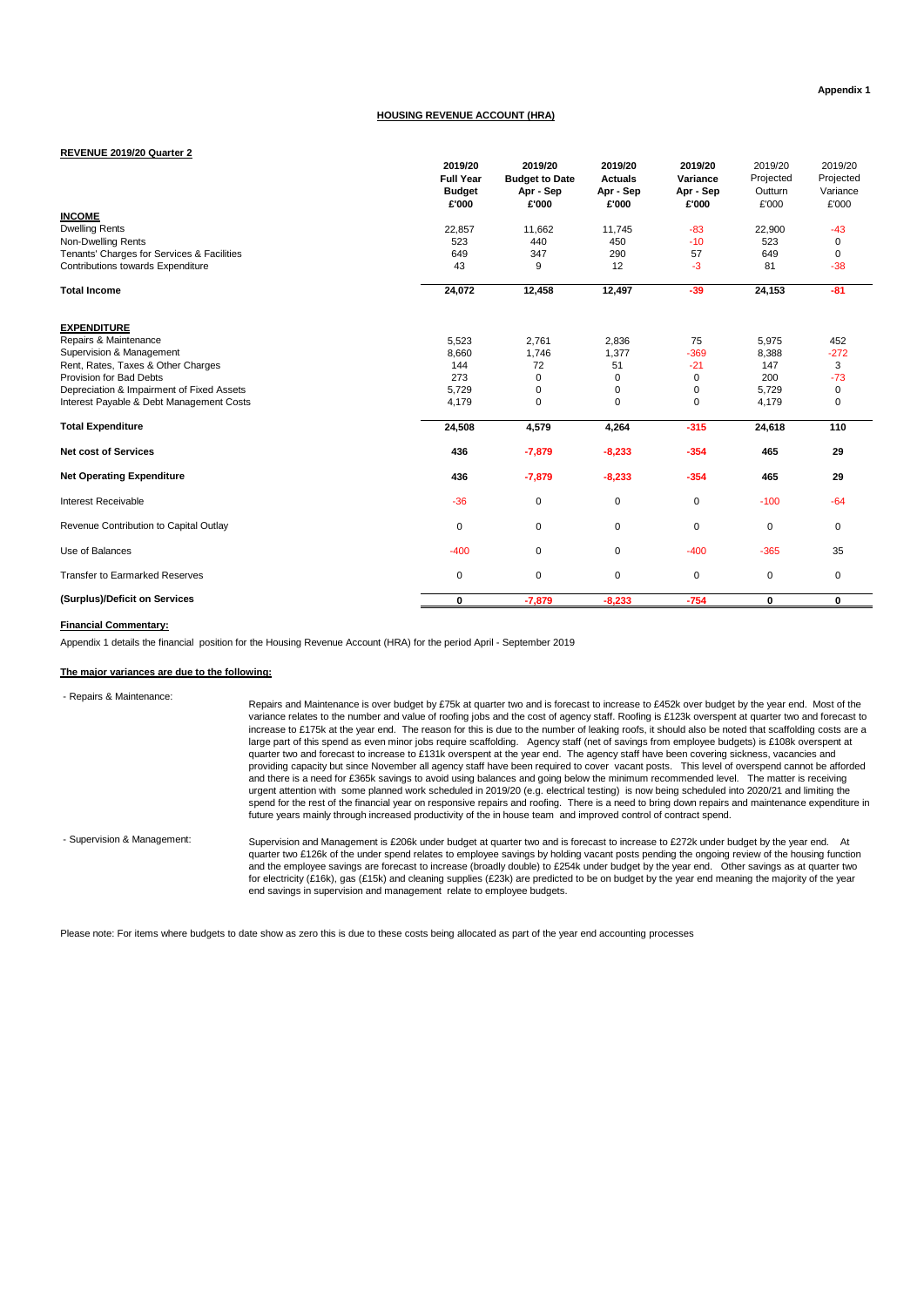# **HOUSING REVENUE ACCOUNT (HRA)**

#### **REVENUE 2019/20 Quarter 2**

|                                            | 2019/20<br><b>Full Year</b><br><b>Budget</b> | 2019/20<br><b>Budget to Date</b><br>Apr - Sep | 2019/20<br><b>Actuals</b><br>Apr - Sep | 2019/20<br>Variance<br>Apr - Sep | 2019/20<br>Projected<br>Outturn | 2019/20<br>Projected<br>Variance |
|--------------------------------------------|----------------------------------------------|-----------------------------------------------|----------------------------------------|----------------------------------|---------------------------------|----------------------------------|
|                                            | £'000                                        | £'000                                         | £'000                                  | £'000                            | £'000                           | £'000                            |
| <b>INCOME</b>                              |                                              |                                               |                                        |                                  |                                 |                                  |
| <b>Dwelling Rents</b>                      | 22,857                                       | 11,662                                        | 11,745                                 | $-83$                            | 22,900                          | $-43$                            |
| Non-Dwelling Rents                         | 523                                          | 440                                           | 450                                    | $-10$                            | 523                             | 0                                |
| Tenants' Charges for Services & Facilities | 649                                          | 347                                           | 290                                    | 57                               | 649                             | 0                                |
| Contributions towards Expenditure          | 43                                           | 9                                             | 12                                     | $-3$                             | 81                              | $-38$                            |
| <b>Total Income</b>                        | 24,072                                       | 12,458                                        | 12,497                                 | $-39$                            | 24,153                          | $-81$                            |
| <b>EXPENDITURE</b>                         |                                              |                                               |                                        |                                  |                                 |                                  |
| Repairs & Maintenance                      | 5,523                                        | 2,761                                         | 2,836                                  | 75                               | 5,975                           | 452                              |
| Supervision & Management                   | 8,660                                        | 1,746                                         | 1,377                                  | $-369$                           | 8,388                           | $-272$                           |
| Rent, Rates, Taxes & Other Charges         | 144                                          | 72                                            | 51                                     | $-21$                            | 147                             | 3                                |
| Provision for Bad Debts                    | 273                                          | 0                                             | $\Omega$                               | 0                                | 200                             | $-73$                            |
| Depreciation & Impairment of Fixed Assets  | 5,729                                        | 0                                             | $\mathbf 0$                            | 0                                | 5,729                           | 0                                |
| Interest Payable & Debt Management Costs   | 4,179                                        | 0                                             | $\Omega$                               | 0                                | 4,179                           | 0                                |
| <b>Total Expenditure</b>                   | 24,508                                       | 4,579                                         | 4,264                                  | $-315$                           | 24,618                          | 110                              |
| <b>Net cost of Services</b>                | 436                                          | $-7,879$                                      | $-8,233$                               | $-354$                           | 465                             | 29                               |
| <b>Net Operating Expenditure</b>           | 436                                          | $-7,879$                                      | $-8,233$                               | $-354$                           | 465                             | 29                               |
| Interest Receivable                        | $-36$                                        | 0                                             | 0                                      | 0                                | $-100$                          | $-64$                            |
| Revenue Contribution to Capital Outlay     | $\mathbf 0$                                  | 0                                             | $\mathbf 0$                            | $\mathbf 0$                      | 0                               | $\mathbf 0$                      |
| Use of Balances                            | $-400$                                       | 0                                             | 0                                      | $-400$                           | $-365$                          | 35                               |
| <b>Transfer to Earmarked Reserves</b>      | $\mathbf 0$                                  | $\mathbf 0$                                   | $\mathbf 0$                            | $\mathsf 0$                      | 0                               | $\mathbf 0$                      |
| (Surplus)/Deficit on Services              | 0                                            | $-7,879$                                      | $-8,233$                               | $-754$                           | 0                               | 0                                |

#### **Financial Commentary:**

Appendix 1 details the financial position for the Housing Revenue Account (HRA) for the period April - September 2019

## **The major variances are due to the following:**

 - Repairs & Maintenance: - Supervision & Management: Repairs and Maintenance is over budget by £75k at quarter two and is forecast to increase to £452k over budget by the year end. Most of the variance relates to the number and value of roofing jobs and the cost of agency staff. Roofing is £123k overspent at quarter two and forecast to increase to £175k at the year end. The reason for this is due to the number of leaking roofs, it should also be noted that scaffolding costs are a<br>large part of this spend as even minor jobs require scaffolding. Agency quarter two and forecast to increase to £131k overspent at the year end. The agency staff have been covering sickness, vacancies and providing capacity but since November all agency staff have been required to cover vacant posts. This level of overspend cannot be afforded and there is a need for £365k savings to avoid using balances and going below the minimum recommended level. The matter is receiving urgent attention with some planned work scheduled in 2019/20 (e.g. electrical testing) is now being scheduled into 2020/21 and limiting the<br>spend for the rest of the financial year on responsive repairs and roofing. There Supervision and Management is £206k under budget at quarter two and is forecast to increase to £272k under budget by the year end. At quarter two £126k of the under spend relates to employee savings by holding vacant posts pending the ongoing review of the housing function and the employee savings are forecast to increase (broadly double) to £254k under budget by the year end. Other savings as at quarter two for electricity (£16k), gas (£15k) and cleaning supplies (£23k) are predicted to be on budget by the year end meaning the majority of the year

Please note: For items where budgets to date show as zero this is due to these costs being allocated as part of the year end accounting processes

end savings in supervision and management relate to employee budgets.